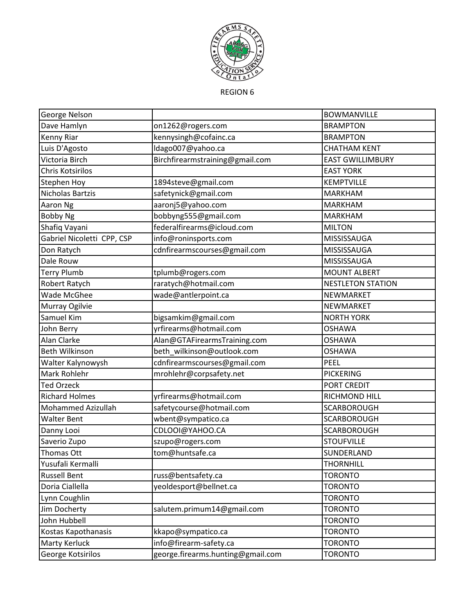

REGION 6

| George Nelson              |                                   | <b>BOWMANVILLE</b>       |
|----------------------------|-----------------------------------|--------------------------|
| Dave Hamlyn                | on1262@rogers.com                 | <b>BRAMPTON</b>          |
| Kenny Riar                 | kennysingh@cofainc.ca             | <b>BRAMPTON</b>          |
| Luis D'Agosto              | Idago007@yahoo.ca                 | <b>CHATHAM KENT</b>      |
| Victoria Birch             | Birchfirearmstraining@gmail.com   | <b>EAST GWILLIMBURY</b>  |
| Chris Kotsirilos           |                                   | <b>EAST YORK</b>         |
| <b>Stephen Hoy</b>         | 1894steve@gmail.com               | KEMPTVILLE               |
| <b>Nicholas Bartzis</b>    | safetynick@gmail.com              | <b>MARKHAM</b>           |
| Aaron Ng                   | aaronj5@yahoo.com                 | <b>MARKHAM</b>           |
| <b>Bobby Ng</b>            | bobbyng555@gmail.com              | <b>MARKHAM</b>           |
| Shafiq Vayani              | federalfirearms@icloud.com        | <b>MILTON</b>            |
| Gabriel Nicoletti CPP, CSP | info@roninsports.com              | MISSISSAUGA              |
| Don Ratych                 | cdnfirearmscourses@gmail.com      | MISSISSAUGA              |
| Dale Rouw                  |                                   | MISSISSAUGA              |
| <b>Terry Plumb</b>         | tplumb@rogers.com                 | <b>MOUNT ALBERT</b>      |
| Robert Ratych              | raratych@hotmail.com              | <b>NESTLETON STATION</b> |
| Wade McGhee                | wade@antlerpoint.ca               | NEWMARKET                |
| Murray Ogilvie             |                                   | NEWMARKET                |
| Samuel Kim                 | bigsamkim@gmail.com               | <b>NORTH YORK</b>        |
| John Berry                 | yrfirearms@hotmail.com            | <b>OSHAWA</b>            |
| Alan Clarke                | Alan@GTAFirearmsTraining.com      | <b>OSHAWA</b>            |
| Beth Wilkinson             | beth_wilkinson@outlook.com        | <b>OSHAWA</b>            |
| Walter Kalynowysh          | cdnfirearmscourses@gmail.com      | PEEL                     |
| Mark Rohlehr               | mrohlehr@corpsafety.net           | <b>PICKERING</b>         |
| <b>Ted Orzeck</b>          |                                   | PORT CREDIT              |
| <b>Richard Holmes</b>      | yrfirearms@hotmail.com            | RICHMOND HILL            |
| Mohammed Azizullah         | safetycourse@hotmail.com          | SCARBOROUGH              |
| <b>Walter Bent</b>         | wbent@sympatico.ca                | <b>SCARBOROUGH</b>       |
| Danny Looi                 | CDLOOI@YAHOO.CA                   | SCARBOROUGH              |
| Saverio Zupo               | szupo@rogers.com                  | <b>STOUFVILLE</b>        |
| Thomas Ott                 | tom@huntsafe.ca                   | SUNDERLAND               |
| Yusufali Kermalli          |                                   | <b>THORNHILL</b>         |
| <b>Russell Bent</b>        | russ@bentsafety.ca                | <b>TORONTO</b>           |
| Doria Ciallella            | yeoldesport@bellnet.ca            | <b>TORONTO</b>           |
| Lynn Coughlin              |                                   | <b>TORONTO</b>           |
| Jim Docherty               | salutem.primum14@gmail.com        | <b>TORONTO</b>           |
| John Hubbell               |                                   | <b>TORONTO</b>           |
| Kostas Kapothanasis        | kkapo@sympatico.ca                | <b>TORONTO</b>           |
| Marty Kerluck              | info@firearm-safety.ca            | <b>TORONTO</b>           |
| George Kotsirilos          | george.firearms.hunting@gmail.com | <b>TORONTO</b>           |